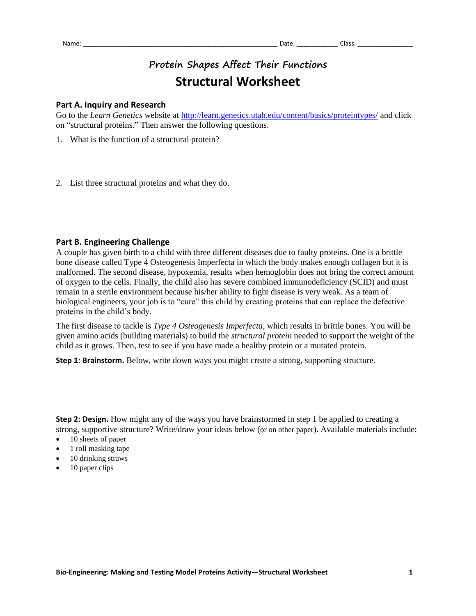# **Protein Shapes Affect Their Functions Structural Worksheet**

# **Part A. Inquiry and Research**

Go to the *Learn Genetics* website at <http://learn.genetics.utah.edu/content/basics/proteintypes/> and click on "structural proteins." Then answer the following questions.

- 1. What is the function of a structural protein?
- 2. List three structural proteins and what they do.

## **Part B. Engineering Challenge**

A couple has given birth to a child with three different diseases due to faulty proteins. One is a brittle bone disease called Type 4 Osteogenesis Imperfecta in which the body makes enough collagen but it is malformed. The second disease, hypoxemia, results when hemoglobin does not bring the correct amount of oxygen to the cells. Finally, the child also has severe combined immunodeficiency (SCID) and must remain in a sterile environment because his/her ability to fight disease is very weak. As a team of biological engineers, your job is to "cure" this child by creating proteins that can replace the defective proteins in the child's body.

The first disease to tackle is *Type 4 Osteogenesis Imperfecta*, which results in brittle bones. You will be given amino acids (building materials) to build the *structural protein* needed to support the weight of the child as it grows. Then, test to see if you have made a healthy protein or a mutated protein.

**Step 1: Brainstorm.** Below, write down ways you might create a strong, supporting structure.

**Step 2: Design.** How might any of the ways you have brainstormed in step 1 be applied to creating a strong, supportive structure? Write/draw your ideas below (or on other paper). Available materials include:

- 10 sheets of paper
- 1 roll masking tape
- 10 drinking straws
- $\bullet$  10 paper clips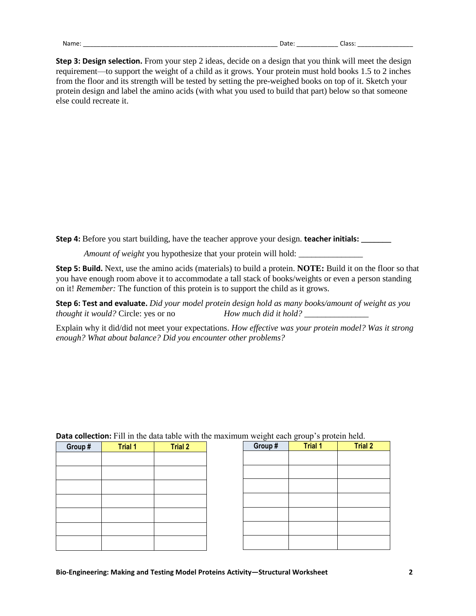**Step 3: Design selection.** From your step 2 ideas, decide on a design that you think will meet the design requirement—to support the weight of a child as it grows. Your protein must hold books 1.5 to 2 inches from the floor and its strength will be tested by setting the pre-weighed books on top of it. Sketch your protein design and label the amino acids (with what you used to build that part) below so that someone else could recreate it.

**Step 4:** Before you start building, have the teacher approve your design. **teacher initials: \_\_\_\_\_\_\_**

*Amount of weight* you hypothesize that your protein will hold:

**Step 5: Build.** Next, use the amino acids (materials) to build a protein. **NOTE:** Build it on the floor so that you have enough room above it to accommodate a tall stack of books/weights or even a person standing on it! *Remember:* The function of this protein is to support the child as it grows.

**Step 6: Test and evaluate.** *Did your model protein design hold as many books/amount of weight as you thought it would?* Circle: yes or no *How much did it hold?* \_\_\_\_\_\_\_\_\_\_\_\_\_\_\_

Explain why it did/did not meet your expectations. *How effective was your protein model? Was it strong enough? What about balance? Did you encounter other problems?*

| Group # | <b>Trial 1</b> | <b>Trial 2</b> |
|---------|----------------|----------------|
|         |                |                |
|         |                |                |
|         |                |                |
|         |                |                |
|         |                |                |
|         |                |                |
|         |                |                |
|         |                |                |
|         |                |                |

| Group # | ರ್<br><b>Trial 1</b> | <b>Trial 2</b> |  |
|---------|----------------------|----------------|--|
|         |                      |                |  |
|         |                      |                |  |
|         |                      |                |  |
|         |                      |                |  |
|         |                      |                |  |
|         |                      |                |  |
|         |                      |                |  |

#### **Data collection:** Fill in the data table with the maximum weight each group's protein held.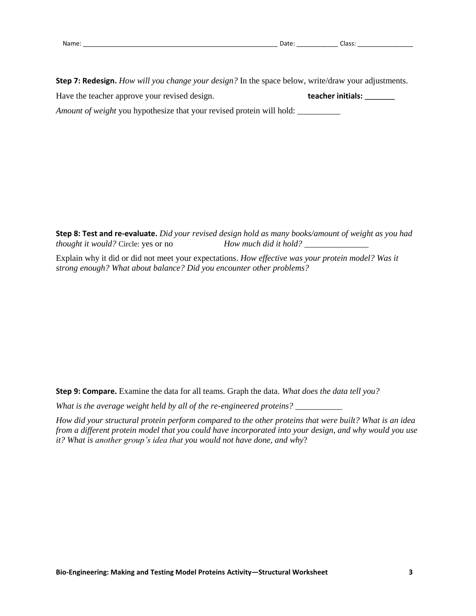| . .<br>Νź |  |
|-----------|--|
|           |  |

**Step 7: Redesign.** *How will you change your design?* In the space below, write/draw your adjustments. Have the teacher approve your revised design. **teacher initials: \_\_\_\_\_\_\_**

*Amount of weight* you hypothesize that your revised protein will hold:

**Step 8: Test and re-evaluate.** *Did your revised design hold as many books/amount of weight as you had thought it would?* Circle: yes or no *How much did it hold?* \_\_\_\_\_\_\_\_\_\_\_\_\_\_\_

Explain why it did or did not meet your expectations. *How effective was your protein model? Was it strong enough? What about balance? Did you encounter other problems?*

**Step 9: Compare.** Examine the data for all teams. Graph the data. *What does the data tell you?*

*What is the average weight held by all of the re-engineered proteins?* \_\_\_\_\_\_\_\_\_\_\_

*How did your structural protein perform compared to the other proteins that were built? What is an idea from a different protein model that you could have incorporated into your design, and why would you use it? What is another group's idea that you would not have done, and why*?